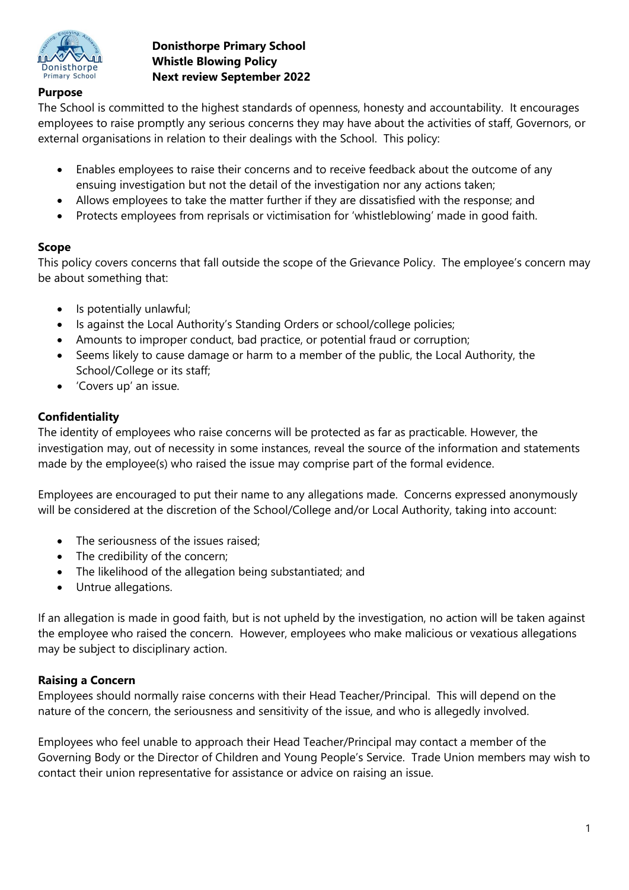

**Purpose**

### **Donisthorpe Primary School Whistle Blowing Policy Next review September 2022**

The School is committed to the highest standards of openness, honesty and accountability. It encourages employees to raise promptly any serious concerns they may have about the activities of staff, Governors, or external organisations in relation to their dealings with the School. This policy:

- Enables employees to raise their concerns and to receive feedback about the outcome of any ensuing investigation but not the detail of the investigation nor any actions taken;
- Allows employees to take the matter further if they are dissatisfied with the response; and
- Protects employees from reprisals or victimisation for 'whistleblowing' made in good faith.

# **Scope**

This policy covers concerns that fall outside the scope of the Grievance Policy. The employee's concern may be about something that:

- Is potentially unlawful;
- Is against the Local Authority's Standing Orders or school/college policies;
- Amounts to improper conduct, bad practice, or potential fraud or corruption;
- Seems likely to cause damage or harm to a member of the public, the Local Authority, the School/College or its staff;
- 'Covers up' an issue.

# **Confidentiality**

The identity of employees who raise concerns will be protected as far as practicable. However, the investigation may, out of necessity in some instances, reveal the source of the information and statements made by the employee(s) who raised the issue may comprise part of the formal evidence.

Employees are encouraged to put their name to any allegations made. Concerns expressed anonymously will be considered at the discretion of the School/College and/or Local Authority, taking into account:

- The seriousness of the issues raised;
- The credibility of the concern;
- The likelihood of the allegation being substantiated; and
- Untrue allegations.

If an allegation is made in good faith, but is not upheld by the investigation, no action will be taken against the employee who raised the concern. However, employees who make malicious or vexatious allegations may be subject to disciplinary action.

# **Raising a Concern**

Employees should normally raise concerns with their Head Teacher/Principal. This will depend on the nature of the concern, the seriousness and sensitivity of the issue, and who is allegedly involved.

Employees who feel unable to approach their Head Teacher/Principal may contact a member of the Governing Body or the Director of Children and Young People's Service. Trade Union members may wish to contact their union representative for assistance or advice on raising an issue.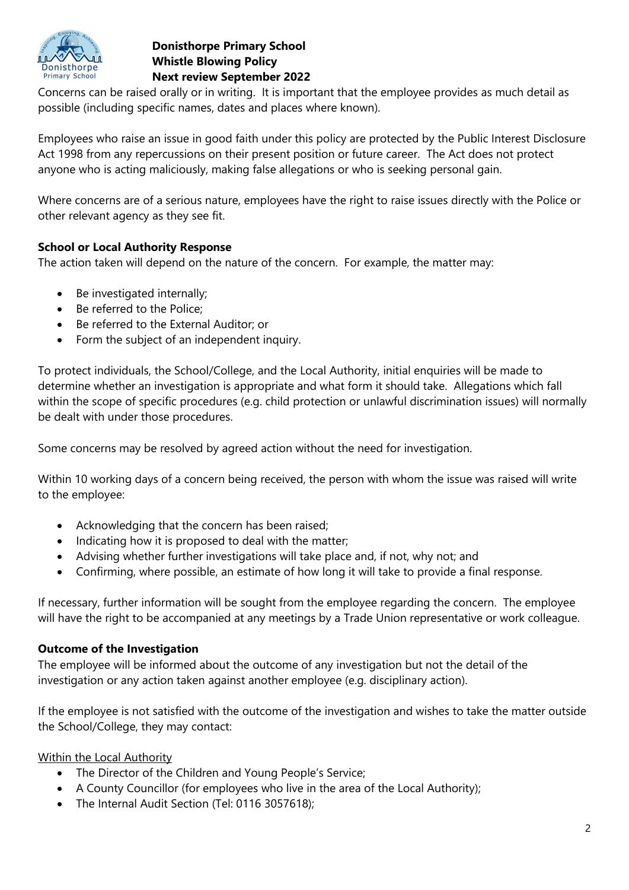

### **Donisthorpe Primary School Whistle Blowing Policy Next review September 2022**

Concerns can be raised orally or in writing. It is important that the employee provides as much detail as possible (including specific names, dates and places where known).

Employees who raise an issue in good faith under this policy are protected by the Public Interest Disclosure Act 1998 from any repercussions on their present position or future career. The Act does not protect anyone who is acting maliciously, making false allegations or who is seeking personal gain.

Where concerns are of a serious nature, employees have the right to raise issues directly with the Police or other relevant agency as they see fit.

# **School or Local Authority Response**

The action taken will depend on the nature of the concern. For example, the matter may:

- Be investigated internally;
- Be referred to the Police;
- Be referred to the External Auditor; or
- Form the subject of an independent inquiry.

To protect individuals, the School/College, and the Local Authority, initial enquiries will be made to determine whether an investigation is appropriate and what form it should take. Allegations which fall within the scope of specific procedures (e.g. child protection or unlawful discrimination issues) will normally be dealt with under those procedures.

Some concerns may be resolved by agreed action without the need for investigation.

Within 10 working days of a concern being received, the person with whom the issue was raised will write to the employee:

- Acknowledging that the concern has been raised;
- Indicating how it is proposed to deal with the matter;
- Advising whether further investigations will take place and, if not, why not; and
- Confirming, where possible, an estimate of how long it will take to provide a final response.

If necessary, further information will be sought from the employee regarding the concern. The employee will have the right to be accompanied at any meetings by a Trade Union representative or work colleague.

### **Outcome of the Investigation**

The employee will be informed about the outcome of any investigation but not the detail of the investigation or any action taken against another employee (e.g. disciplinary action).

If the employee is not satisfied with the outcome of the investigation and wishes to take the matter outside the School/College, they may contact:

### Within the Local Authority

- The Director of the Children and Young People's Service;
- A County Councillor (for employees who live in the area of the Local Authority);
- The Internal Audit Section (Tel: 0116 3057618);